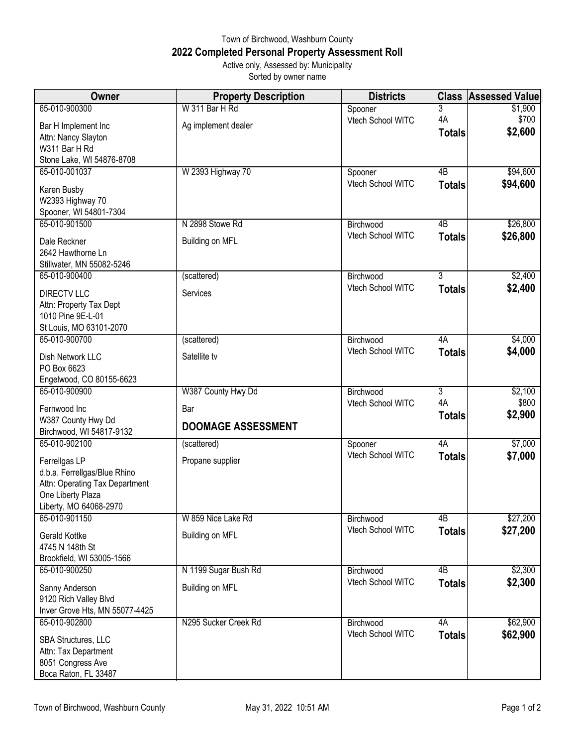## Town of Birchwood, Washburn County **2022 Completed Personal Property Assessment Roll** Active only, Assessed by: Municipality

| Sorted by owner name |
|----------------------|

| Owner                                                   | <b>Property Description</b> | <b>Districts</b>  | <b>Class</b>   | <b>Assessed Value</b> |
|---------------------------------------------------------|-----------------------------|-------------------|----------------|-----------------------|
| 65-010-900300                                           | W 311 Bar H Rd              | Spooner           | 3              | \$1,900               |
| Bar H Implement Inc                                     | Ag implement dealer         | Vtech School WITC | 4A             | \$700                 |
| Attn: Nancy Slayton                                     |                             |                   | <b>Totals</b>  | \$2,600               |
| W311 Bar H Rd                                           |                             |                   |                |                       |
| Stone Lake, WI 54876-8708                               |                             |                   |                |                       |
| 65-010-001037                                           | W 2393 Highway 70           | Spooner           | 4B             | \$94,600              |
| Karen Busby                                             |                             | Vtech School WITC | <b>Totals</b>  | \$94,600              |
| W2393 Highway 70                                        |                             |                   |                |                       |
| Spooner, WI 54801-7304                                  |                             |                   |                |                       |
| 65-010-901500                                           | N 2898 Stowe Rd             | Birchwood         | 4B             | \$26,800              |
| Dale Reckner                                            | Building on MFL             | Vtech School WITC | <b>Totals</b>  | \$26,800              |
| 2642 Hawthorne Ln                                       |                             |                   |                |                       |
| Stillwater, MN 55082-5246                               |                             |                   |                |                       |
| 65-010-900400                                           | (scattered)                 | Birchwood         | $\overline{3}$ | \$2,400               |
| <b>DIRECTV LLC</b>                                      | Services                    | Vtech School WITC | <b>Totals</b>  | \$2,400               |
| Attn: Property Tax Dept                                 |                             |                   |                |                       |
| 1010 Pine 9E-L-01                                       |                             |                   |                |                       |
| St Louis, MO 63101-2070                                 |                             |                   |                |                       |
| 65-010-900700                                           | (scattered)                 | Birchwood         | 4A             | \$4,000               |
| Dish Network LLC                                        | Satellite tv                | Vtech School WITC | <b>Totals</b>  | \$4,000               |
| PO Box 6623                                             |                             |                   |                |                       |
| Engelwood, CO 80155-6623                                |                             |                   |                |                       |
| 65-010-900900                                           | W387 County Hwy Dd          | Birchwood         | $\overline{3}$ | \$2,100               |
| Fernwood Inc                                            | Bar                         | Vtech School WITC | 4A             | \$800<br>\$2,900      |
| W387 County Hwy Dd                                      | <b>DOOMAGE ASSESSMENT</b>   |                   | <b>Totals</b>  |                       |
| Birchwood, WI 54817-9132                                |                             |                   |                |                       |
| 65-010-902100                                           | (scattered)                 | Spooner           | 4A             | \$7,000               |
| Ferrellgas LP                                           | Propane supplier            | Vtech School WITC | <b>Totals</b>  | \$7,000               |
| d.b.a. Ferrellgas/Blue Rhino                            |                             |                   |                |                       |
| Attn: Operating Tax Department                          |                             |                   |                |                       |
| One Liberty Plaza<br>Liberty, MO 64068-2970             |                             |                   |                |                       |
| 65-010-901150                                           | W 859 Nice Lake Rd          | Birchwood         | 4B             | \$27,200              |
|                                                         |                             | Vtech School WITC | <b>Totals</b>  | \$27,200              |
| Gerald Kottke                                           | Building on MFL             |                   |                |                       |
| 4745 N 148th St<br>Brookfield, WI 53005-1566            |                             |                   |                |                       |
| 65-010-900250                                           | N 1199 Sugar Bush Rd        | Birchwood         | 4B             | \$2,300               |
|                                                         |                             | Vtech School WITC | <b>Totals</b>  | \$2,300               |
| Sanny Anderson                                          | Building on MFL             |                   |                |                       |
| 9120 Rich Valley Blvd<br>Inver Grove Hts, MN 55077-4425 |                             |                   |                |                       |
| 65-010-902800                                           | N295 Sucker Creek Rd        | Birchwood         | 4A             | \$62,900              |
|                                                         |                             | Vtech School WITC | <b>Totals</b>  | \$62,900              |
| SBA Structures, LLC                                     |                             |                   |                |                       |
| Attn: Tax Department<br>8051 Congress Ave               |                             |                   |                |                       |
| Boca Raton, FL 33487                                    |                             |                   |                |                       |